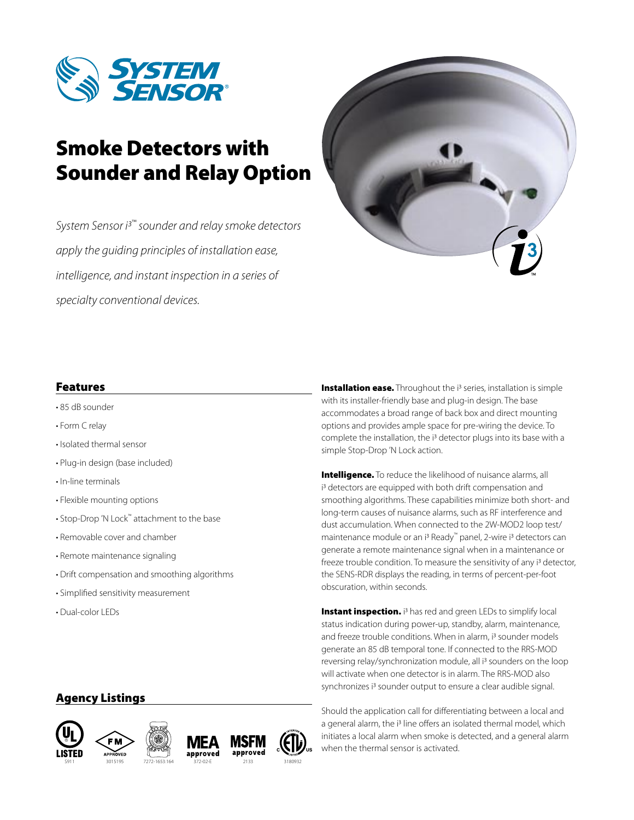

## Smoke Detectors with Sounder and Relay Option

*System Sensor i3 ™ sounder and relay smoke detectors apply the guiding principles of installation ease, intelligence, and instant inspection in a series of specialty conventional devices.*



## Features

- 85 dB sounder
- Form C relay
- Isolated thermal sensor
- Plug-in design (base included)
- In-line terminals
- Flexible mounting options
- Stop-Drop 'N Lock™ attachment to the base
- Removable cover and chamber
- Remote maintenance signaling
- Drift compensation and smoothing algorithms
- Simplified sensitivity measurement
- Dual-color LEDs

**Installation ease.** Throughout the i<sup>3</sup> series, installation is simple with its installer-friendly base and plug-in design. The base accommodates a broad range of back box and direct mounting options and provides ample space for pre-wiring the device. To complete the installation, the i3 detector plugs into its base with a simple Stop-Drop 'N Lock action.

**Intelligence.** To reduce the likelihood of nuisance alarms, all i3 detectors are equipped with both drift compensation and smoothing algorithms. These capabilities minimize both short- and long-term causes of nuisance alarms, such as RF interference and dust accumulation. When connected to the 2W-MOD2 loop test/ maintenance module or an i3 Ready™ panel, 2‑wire i3 detectors can generate a remote maintenance signal when in a maintenance or freeze trouble condition. To measure the sensitivity of any i<sup>3</sup> detector, the SENS-RDR displays the reading, in terms of percent-per-foot obscuration, within seconds.

**Instant inspection.** i<sup>3</sup> has red and green LEDs to simplify local status indication during power-up, standby, alarm, maintenance, and freeze trouble conditions. When in alarm, i<sup>3</sup> sounder models generate an 85 dB temporal tone. If connected to the RRS-MOD reversing relay/synchronization module, all i<sup>3</sup> sounders on the loop will activate when one detector is in alarm. The RRS-MOD also synchronizes i<sup>3</sup> sounder output to ensure a clear audible signal.

Agency Listings



Should the application call for differentiating between a local and a general alarm, the i<sup>3</sup> line offers an isolated thermal model, which initiates a local alarm when smoke is detected, and a general alarm when the thermal sensor is activated.